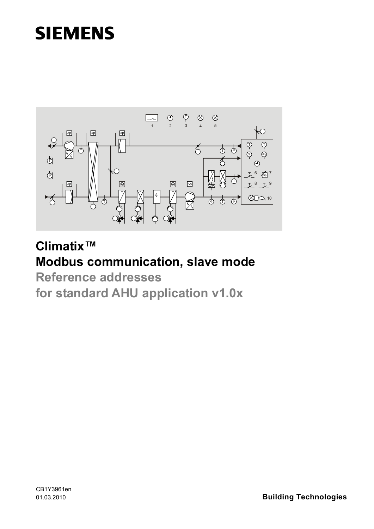# **SIEMENS**



# **Climatix™ Modbus communication, slave mode Reference addresses**

**for standard AHU application v1.0x**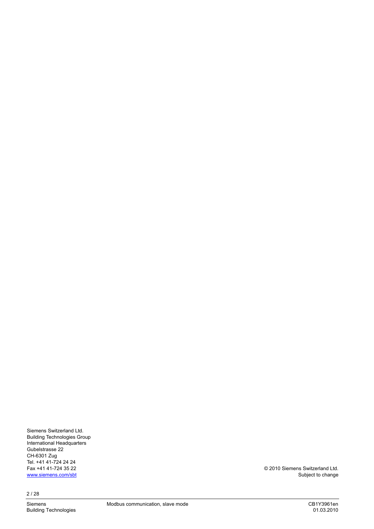Siemens Switzerland Ltd. Building Technologies Group International Headquarters Gubelstrasse 22 CH-6301 Zug Tel. +41 41-724 24 24 Fax +41 41-724 35 22 www.siemens.com/sbt

2 / 28

© 2010 Siemens Switzerland Ltd. Subject to change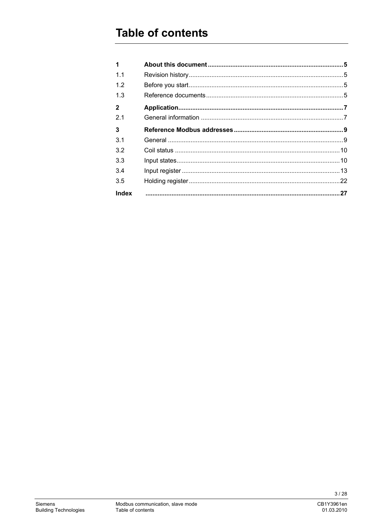# **Table of contents**

| 1            |  |
|--------------|--|
| 1.1          |  |
| 1.2          |  |
| 1.3          |  |
| $\mathbf{2}$ |  |
| 21           |  |
| 3            |  |
| 3.1          |  |
| 3.2          |  |
| 3.3          |  |
| 3.4          |  |
| 3.5          |  |
| Index        |  |

 $3/28$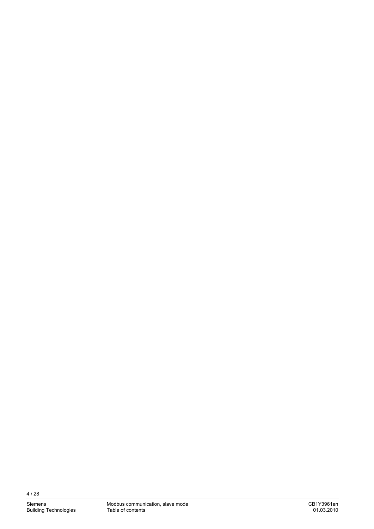4 / 28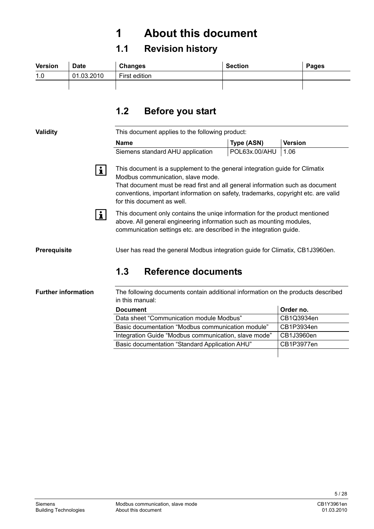# **1 About this document**

#### **1.1 Revision history**

| <b>Version</b> | <b>Date</b> | <b>Changes</b> | <b>Section</b> | <b>Pages</b> |
|----------------|-------------|----------------|----------------|--------------|
| 1.0            | 01.03.2010  | First edition  |                |              |
|                |             |                |                |              |

#### **1.2 Before you start**

| Name                             | Type (ASN)           | <b>Version</b> |
|----------------------------------|----------------------|----------------|
| Siemens standard AHU application | POL63x.00/AHU   1.06 |                |

This document is a supplement to the general integration guide for Climatix Modbus communication, slave mode.

That document must be read first and all general information such as document conventions, important information on safety, trademarks, copyright etc. are valid for this document as well.

This document only contains the uniqe information for the product mentioned above. All general engineering information such as mounting modules, communication settings etc. are described in the integration guide.

#### **Prerequisite**

**Validity** 

 $\boxed{1}$ 

 $\boxed{1}$ 

User has read the general Modbus integration guide for Climatix, CB1J3960en.

#### **1.3 Reference documents**

| <b>Further information</b> | The following documents contain additional information on the products described<br>in this manual: |            |  |  |
|----------------------------|-----------------------------------------------------------------------------------------------------|------------|--|--|
|                            | <b>Document</b>                                                                                     | Order no.  |  |  |
|                            | Data sheet "Communication module Modbus"                                                            | CB1Q3934en |  |  |
|                            | Basic documentation "Modbus communication module"                                                   | CB1P3934en |  |  |
|                            | Integration Guide "Modbus communication, slave mode"                                                | CB1J3960en |  |  |
|                            | Basic documentation "Standard Application AHU"                                                      | CB1P3977en |  |  |
|                            |                                                                                                     |            |  |  |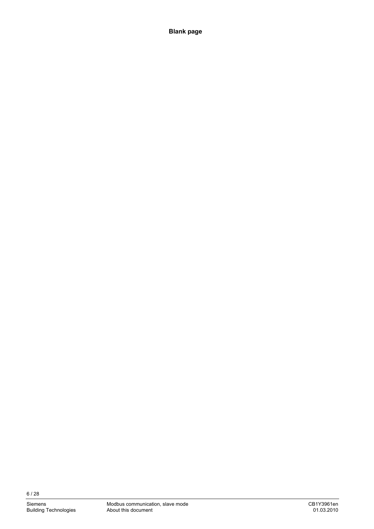**Blank page** 

6 / 28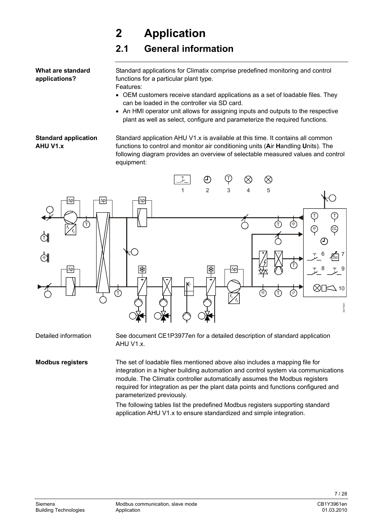# **2 Application**

### **2.1 General information**

**What are standard applications?** 

Standard applications for Climatix comprise predefined monitoring and control functions for a particular plant type.

- Features:
- OEM customers receive standard applications as a set of loadable files. They can be loaded in the controller via SD card.
- An HMI operator unit allows for assigning inputs and outputs to the respective plant as well as select, configure and parameterize the required functions.

#### **Standard application AHU V1.x**

Standard application AHU V1.x is available at this time. It contains all common functions to control and monitor air conditioning units (**A**ir **H**andling **U**nits). The following diagram provides an overview of selectable measured values and control equipment:



See document CE1P3977en for a detailed description of standard application AHU V1.x.

The set of loadable files mentioned above also includes a mapping file for integration in a higher building automation and control system via communications module. The Climatix controller automatically assumes the Modbus registers required for integration as per the plant data points and functions configured and parameterized previously. **Modbus registers** 

> The following tables list the predefined Modbus registers supporting standard application AHU V1.x to ensure standardized and simple integration.

Detailed information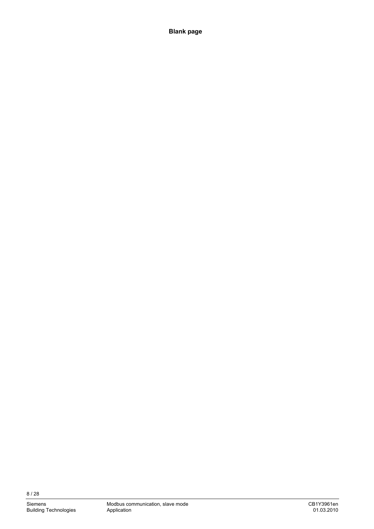**Blank page** 

8 / 28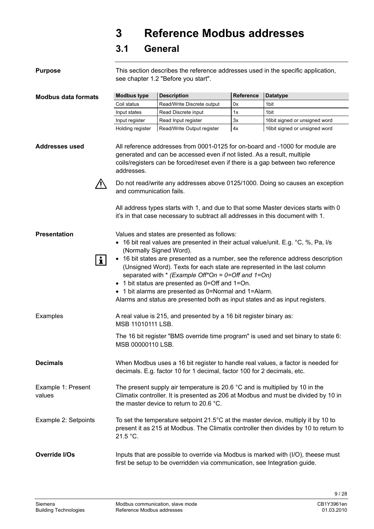# **3 Reference Modbus addresses**

#### **3.1 General**

This section describes the reference addresses used in the specific application, see chapter 1.2 "Before you start". **Modbus type Description Bullet Reference Datatype** Coil status Read/Write Discrete output  $\begin{array}{ccc} \n\end{array}$  0x 1bit Input states Read Discrete input 1x 1bit Input register Read Input register 3x 16bit signed or unsigned word Holding register Read/Write Output register 4x 16bit signed or unsigned word All reference addresses from 0001-0125 for on-board and -1000 for module are generated and can be accessed even if not listed. As a result, multiple coils/registers can be forced/reset even if there is a gap between two reference addresses. Do not read/write any addresses above 0125/1000. Doing so causes an exception and communication fails. **Purpose Modbus data formats Addresses used** 

> All address types starts with 1, and due to that some Master devices starts with 0 it's in that case necessary to subtract all addresses in this document with 1.

**Presentation** 

 $\mathbf{h}$ 

Values and states are presented as follows:

- 16 bit real values are presented in their actual value/unit. E.g. °C, %, Pa, l/s (Normally Signed Word).
- 16 bit states are presented as a number, see the reference address description (Unsigned Word). Texts for each state are represented in the last column separated with \* *(Example Off\*On = 0=Off and 1=On)*
- 1 bit status are presented as 0=Off and 1=On.
- 1 bit alarms are presented as 0=Normal and 1=Alarm.

Alarms and status are presented both as input states and as input registers.

A real value is 215, and presented by a 16 bit register binary as: MSB 11010111 LSB. Examples

> The 16 bit register "BMS override time program" is used and set binary to state 6: MSB 00000110 LSB

When Modbus uses a 16 bit register to handle real values, a factor is needed for decimals. E.g. factor 10 for 1 decimal, factor 100 for 2 decimals, etc. **Decimals** 

The present supply air temperature is 20.6 °C and is multiplied by 10 in the Climatix controller. It is presented as 206 at Modbus and must be divided by 10 in the master device to return to 20.6 °C. Example 1: Present values

- To set the temperature setpoint 21.5°C at the master device, multiply it by 10 to present it as 215 at Modbus. The Climatix controller then divides by 10 to return to  $21.5 °C$ . Example 2: Setpoints
- Inputs that are possible to override via Modbus is marked with (I/O), theese must first be setup to be overridden via communication, see Integration guide. **Override I/Os**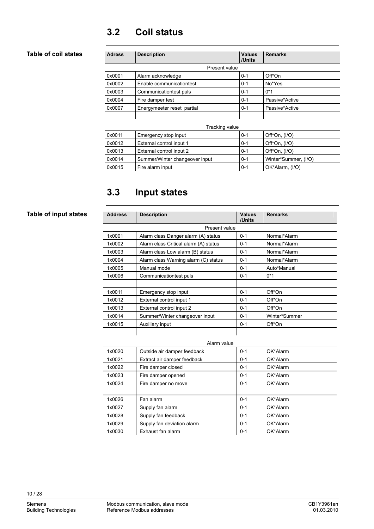#### **3.2 Coil status**

#### **Table of coil states**

| <b>Adress</b> | <b>Description</b>         | <b>Values</b><br>/Units | <b>Remarks</b> |
|---------------|----------------------------|-------------------------|----------------|
|               | Present value              |                         |                |
| 0x0001        | Alarm acknowledge          | $0 - 1$                 | Off*On         |
| 0x0002        | Enable communicationtest   | $0 - 1$                 | No*Yes         |
| 0x0003        | Communicationtest puls     | $0 - 1$                 | $0*1$          |
| 0x0004        | Fire damper test           | $0 - 1$                 | Passive*Active |
| 0x0007        | Energymeeter reset partial | $0 - 1$                 | Passive*Active |
|               |                            |                         |                |

| Tracking value |                                |         |                      |  |
|----------------|--------------------------------|---------|----------------------|--|
| 0x0011         | Emergency stop input           | $0 - 1$ | Off $*On, (I/O)$     |  |
| 0x0012         | External control input 1       | $0 - 1$ | Off $*On, (I/O)$     |  |
| 0x0013         | External control input 2       | $0 - 1$ | Off $*On, (I/O)$     |  |
| 0x0014         | Summer/Winter changeover input | $0 - 1$ | Winter*Summer, (I/O) |  |
| 0x0015         | Fire alarm input               | $0 - 1$ | OK*Alarm, (I/O)      |  |

### **3.3 Input states**

#### **Table of input states**

| <b>Address</b> | <b>Description</b>                    | <b>Values</b><br>/Units | <b>Remarks</b> |
|----------------|---------------------------------------|-------------------------|----------------|
|                | Present value                         |                         |                |
| 1x0001         | Alarm class Danger alarm (A) status   | $0 - 1$                 | Normal*Alarm   |
| 1x0002         | Alarm class Critical alarm (A) status | $0 - 1$                 | Normal*Alarm   |
| 1x0003         | Alarm class Low alarm (B) status      | $0 - 1$                 | Normal*Alarm   |
| 1x0004         | Alarm class Warning alarm (C) status  | $0 - 1$                 | Normal*Alarm   |
| 1x0005         | Manual mode                           | $0 - 1$                 | Auto*Manual    |
| 1x0006         | Communicationtest puls                | $0 - 1$                 | $0*1$          |
|                |                                       |                         |                |
| 1x0011         | Emergency stop input                  | $0 - 1$                 | Off*On         |
| 1x0012         | External control input 1              | $0 - 1$                 | Off*On         |
| 1x0013         | External control input 2              | $0 - 1$                 | Off*On         |
| 1x0014         | Summer/Winter changeover input        | $0 - 1$                 | Winter*Summer  |
| 1x0015         | Auxiliary input                       | $0 - 1$                 | Off*On         |
|                |                                       |                         |                |

| Alarm value |                             |         |          |  |
|-------------|-----------------------------|---------|----------|--|
| 1x0020      | Outside air damper feedback | $0 - 1$ | OK*Alarm |  |
| 1x0021      | Extract air damper feedback | $0 - 1$ | OK*Alarm |  |
| 1x0022      | Fire damper closed          | $0 - 1$ | OK*Alarm |  |
| 1x0023      | Fire damper opened          | $0 - 1$ | OK*Alarm |  |
| 1x0024      | Fire damper no move         | $0 - 1$ | OK*Alarm |  |
|             |                             |         |          |  |
| 1x0026      | Fan alarm                   | $0 - 1$ | OK*Alarm |  |
| 1x0027      | Supply fan alarm            | $0 - 1$ | OK*Alarm |  |
| 1x0028      | Supply fan feedback         | $0 - 1$ | OK*Alarm |  |
| 1x0029      | Supply fan deviation alarm  | $0 - 1$ | OK*Alarm |  |
| 1x0030      | Exhaust fan alarm           | $0 - 1$ | OK*Alarm |  |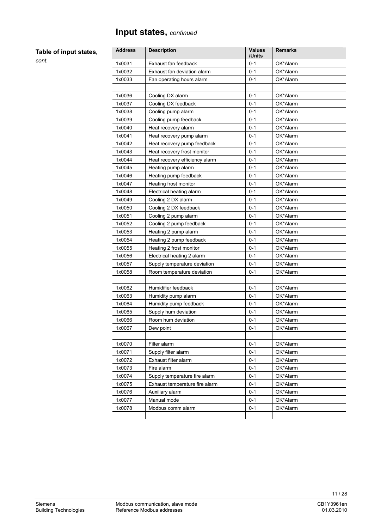#### **Input states,** *continued*

#### **Table of input states,**

| <b>Address</b> | <b>Description</b>             | <b>Values</b><br>/Units | <b>Remarks</b> |
|----------------|--------------------------------|-------------------------|----------------|
| 1x0031         | Exhaust fan feedback           | $0 - 1$                 | OK*Alarm       |
| 1x0032         | Exhaust fan deviation alarm    | $0 - 1$                 | OK*Alarm       |
| 1x0033         | Fan operating hours alarm      | $0 - 1$                 | OK*Alarm       |
|                |                                |                         |                |
| 1x0036         | Cooling DX alarm               | $0 - 1$                 | OK*Alarm       |
| 1x0037         | Cooling DX feedback            | $0 - 1$                 | OK*Alarm       |
| 1x0038         | Cooling pump alarm             | $0 - 1$                 | OK*Alarm       |
| 1x0039         | Cooling pump feedback          | $0 - 1$                 | OK*Alarm       |
| 1x0040         | Heat recovery alarm            | $0 - 1$                 | OK*Alarm       |
| 1x0041         | Heat recovery pump alarm       | $0 - 1$                 | OK*Alarm       |
| 1x0042         | Heat recovery pump feedback    | $0 - 1$                 | OK*Alarm       |
| 1x0043         | Heat recovery frost monitor    | $0 - 1$                 | OK*Alarm       |
| 1x0044         | Heat recovery efficiency alarm | $0 - 1$                 | OK*Alarm       |
| 1x0045         | Heating pump alarm             | $0 - 1$                 | OK*Alarm       |
| 1x0046         | Heating pump feedback          | $0 - 1$                 | OK*Alarm       |
| 1x0047         | Heating frost monitor          | $0 - 1$                 | OK*Alarm       |
| 1x0048         | Electrical heating alarm       | $0 - 1$                 | OK*Alarm       |
| 1x0049         | Cooling 2 DX alarm             | $0 - 1$                 | OK*Alarm       |
| 1x0050         | Cooling 2 DX feedback          | $0 - 1$                 | OK*Alarm       |
| 1x0051         | Cooling 2 pump alarm           | $0 - 1$                 | OK*Alarm       |
| 1x0052         | Cooling 2 pump feedback        | $0 - 1$                 | OK*Alarm       |
| 1x0053         | Heating 2 pump alarm           | $0 - 1$                 | OK*Alarm       |
| 1x0054         | Heating 2 pump feedback        | $0 - 1$                 | OK*Alarm       |
| 1x0055         | Heating 2 frost monitor        | $0 - 1$                 | OK*Alarm       |
| 1x0056         | Electrical heating 2 alarm     | $0 - 1$                 | OK*Alarm       |
| 1x0057         | Supply temperature deviation   | $0 - 1$                 | OK*Alarm       |
| 1x0058         | Room temperature deviation     | $0 - 1$                 | OK*Alarm       |
|                |                                |                         |                |
| 1x0062         | Humidifier feedback            | $0 - 1$                 | OK*Alarm       |
| 1x0063         | Humidity pump alarm            | $0 - 1$                 | OK*Alarm       |
| 1x0064         | Humidity pump feedback         | $0 - 1$                 | OK*Alarm       |
| 1x0065         | Supply hum deviation           | $0 - 1$                 | OK*Alarm       |
| 1x0066         | Room hum deviation             | $0 - 1$                 | OK*Alarm       |
| 1x0067         | Dew point                      | $0 - 1$                 | OK*Alarm       |
|                |                                |                         |                |
| 1x0070         | Filter alarm                   | $0 - 1$                 | OK*Alarm       |
| 1x0071         | Supply filter alarm            | $0 - 1$                 | OK*Alarm       |
| 1x0072         | Exhaust filter alarm           | $0 - 1$                 | OK*Alarm       |
| 1x0073         | Fire alarm                     | $0 - 1$                 | OK*Alarm       |
| 1x0074         | Supply temperature fire alarm  | $0 - 1$                 | OK*Alarm       |
| 1x0075         | Exhaust temperature fire alarm | $0 - 1$                 | OK*Alarm       |
| 1x0076         | Auxiliary alarm                | $0 - 1$                 | OK*Alarm       |
| 1x0077         | Manual mode                    | $0 - 1$                 | OK*Alarm       |
| 1x0078         | Modbus comm alarm              | $0 - 1$                 | OK*Alarm       |
|                |                                |                         |                |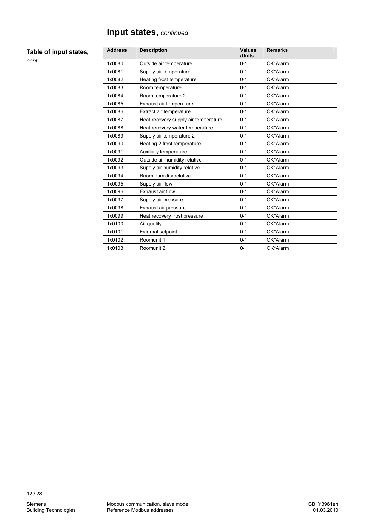#### **Input states,** *continued*

#### **Table of input states,**

| <b>Address</b> | <b>Description</b>                   | <b>Values</b><br>/Units | <b>Remarks</b> |
|----------------|--------------------------------------|-------------------------|----------------|
| 1x0080         | Outside air temperature              | $0 - 1$                 | OK*Alarm       |
| 1x0081         | Supply air temperature               | $0 - 1$                 | OK*Alarm       |
| 1x0082         | Heating frost temperature            | $0 - 1$                 | OK*Alarm       |
| 1x0083         | Room temperature                     | $0 - 1$                 | OK*Alarm       |
| 1x0084         | Room temperature 2                   | $0 - 1$                 | OK*Alarm       |
| 1x0085         | Exhaust air temperature              | $0 - 1$                 | OK*Alarm       |
| 1x0086         | Extract air temperature              | $0 - 1$                 | OK*Alarm       |
| 1x0087         | Heat recovery supply air temperature | $0 - 1$                 | OK*Alarm       |
| 1x0088         | Heat recovery water temperature      | $0 - 1$                 | OK*Alarm       |
| 1x0089         | Supply air temperature 2             | $0 - 1$                 | OK*Alarm       |
| 1x0090         | Heating 2 frost temperature          | $0 - 1$                 | OK*Alarm       |
| 1x0091         | Auxiliary temperature                | $0 - 1$                 | OK*Alarm       |
| 1x0092         | Outside air humidity relative        | $0 - 1$                 | OK*Alarm       |
| 1x0093         | Supply air humidity relative         | $0 - 1$                 | OK*Alarm       |
| 1x0094         | Room humidity relative               | $0 - 1$                 | OK*Alarm       |
| 1x0095         | Supply air flow                      | $0 - 1$                 | OK*Alarm       |
| 1x0096         | Exhaust air flow                     | $0 - 1$                 | OK*Alarm       |
| 1x0097         | Supply air pressure                  | $0 - 1$                 | OK*Alarm       |
| 1x0098         | Exhaust air pressure                 | $0 - 1$                 | OK*Alarm       |
| 1x0099         | Heat recovery frost pressure         | $0 - 1$                 | OK*Alarm       |
| 1x0100         | Air quality                          | $0 - 1$                 | OK*Alarm       |
| 1x0101         | <b>External setpoint</b>             | $0 - 1$                 | OK*Alarm       |
| 1x0102         | Roomunit 1                           | $0 - 1$                 | OK*Alarm       |
| 1x0103         | Roomunit 2                           | $0 - 1$                 | OK*Alarm       |
|                |                                      |                         |                |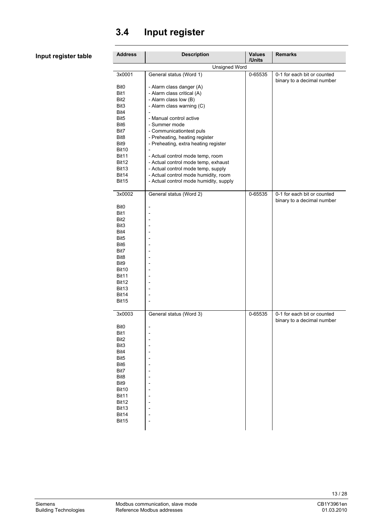### **3.4 Input register**

#### **Input register table**

| <b>Address</b>                         | <b>Description</b>                                                             | <b>Values</b><br>/Units | <b>Remarks</b>                                            |
|----------------------------------------|--------------------------------------------------------------------------------|-------------------------|-----------------------------------------------------------|
|                                        | <b>Unsigned Word</b>                                                           |                         |                                                           |
| 3x0001                                 | General status (Word 1)                                                        | 0-65535                 | 0-1 for each bit or counted<br>binary to a decimal number |
| Bit <sub>0</sub>                       | - Alarm class danger (A)                                                       |                         |                                                           |
| Bit1                                   | - Alarm class critical (A)                                                     |                         |                                                           |
| Bit2                                   | - Alarm class low (B)                                                          |                         |                                                           |
| Bit3                                   | - Alarm class warning (C)                                                      |                         |                                                           |
| Bit4                                   |                                                                                |                         |                                                           |
| Bit <sub>5</sub>                       | - Manual control active                                                        |                         |                                                           |
| Bit <sub>6</sub>                       | - Summer mode                                                                  |                         |                                                           |
| Bit7                                   | - Communicationtest puls                                                       |                         |                                                           |
| Bit8                                   | - Preheating, heating register                                                 |                         |                                                           |
| Bit9                                   | - Preheating, extra heating register                                           |                         |                                                           |
| Bit10                                  |                                                                                |                         |                                                           |
| Bit11                                  | - Actual control mode temp, room                                               |                         |                                                           |
| Bit12                                  | - Actual control mode temp, exhaust                                            |                         |                                                           |
| Bit <sub>13</sub><br>Bit <sub>14</sub> | - Actual control mode temp, supply                                             |                         |                                                           |
| Bit <sub>15</sub>                      | - Actual control mode humidity, room<br>- Actual control mode humidity, supply |                         |                                                           |
|                                        |                                                                                |                         |                                                           |
| 3x0002                                 | General status (Word 2)                                                        | 0-65535                 | 0-1 for each bit or counted<br>binary to a decimal number |
| Bit <sub>0</sub>                       |                                                                                |                         |                                                           |
| Bit1                                   |                                                                                |                         |                                                           |
| Bit2                                   | $\overline{a}$                                                                 |                         |                                                           |
| Bit3                                   |                                                                                |                         |                                                           |
| Bit4                                   |                                                                                |                         |                                                           |
| Bit <sub>5</sub>                       | $\overline{a}$                                                                 |                         |                                                           |
| Bit <sub>6</sub>                       |                                                                                |                         |                                                           |
| Bit7                                   |                                                                                |                         |                                                           |
| Bit8                                   | $\overline{a}$                                                                 |                         |                                                           |
| Bit9                                   |                                                                                |                         |                                                           |
| Bit10                                  | $\overline{a}$                                                                 |                         |                                                           |
| Bit11                                  | $\overline{\phantom{a}}$                                                       |                         |                                                           |
| Bit12<br>Bit <sub>13</sub>             |                                                                                |                         |                                                           |
| Bit14                                  | $\overline{\phantom{a}}$                                                       |                         |                                                           |
| <b>Bit15</b>                           |                                                                                |                         |                                                           |
|                                        |                                                                                |                         |                                                           |
| 3x0003                                 | General status (Word 3)                                                        | 0-65535                 | 0-1 for each bit or counted<br>binary to a decimal number |
| Bit <sub>0</sub>                       |                                                                                |                         |                                                           |
| Bit1                                   |                                                                                |                         |                                                           |
| Bit <sub>2</sub>                       |                                                                                |                         |                                                           |
| Bit3                                   |                                                                                |                         |                                                           |
| Bit4                                   |                                                                                |                         |                                                           |
| Bit <sub>5</sub>                       |                                                                                |                         |                                                           |
| Bit <sub>6</sub>                       |                                                                                |                         |                                                           |
| Bit7                                   |                                                                                |                         |                                                           |
| Bit8                                   | $\overline{\phantom{0}}$                                                       |                         |                                                           |
| Bit9                                   |                                                                                |                         |                                                           |
| Bit10                                  |                                                                                |                         |                                                           |
| Bit11                                  |                                                                                |                         |                                                           |
| Bit12                                  |                                                                                |                         |                                                           |
| Bit13                                  |                                                                                |                         |                                                           |
| Bit14                                  | $\overline{\phantom{0}}$                                                       |                         |                                                           |
| Bit15                                  |                                                                                |                         |                                                           |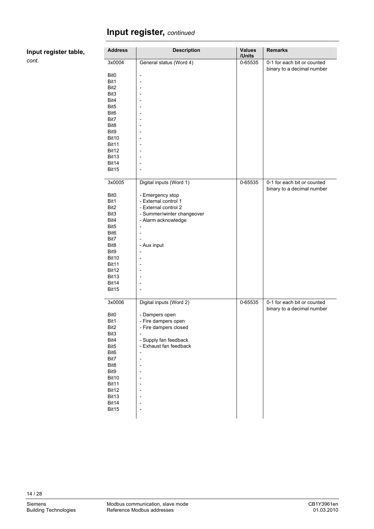|  | Input register table, |  |
|--|-----------------------|--|
|--|-----------------------|--|

| <b>Address</b>                                                                                                                                                                                                                   | <b>Description</b>                                                                                                                                                                                                                                                                                                                                                | <b>Values</b><br>/Units | <b>Remarks</b>                                            |
|----------------------------------------------------------------------------------------------------------------------------------------------------------------------------------------------------------------------------------|-------------------------------------------------------------------------------------------------------------------------------------------------------------------------------------------------------------------------------------------------------------------------------------------------------------------------------------------------------------------|-------------------------|-----------------------------------------------------------|
| 3x0004<br>Bit <sub>0</sub><br>Bit1<br>Bit <sub>2</sub><br>Bit3<br>Bit4<br>Bit <sub>5</sub><br>Bit <sub>6</sub><br>Bit7<br>Bit <sub>8</sub><br>Bit9<br>Bit10<br>Bit11<br>Bit12<br>Bit <sub>13</sub><br>Bit14<br>Bit <sub>15</sub> | General status (Word 4)<br>$\qquad \qquad \blacksquare$<br>$\overline{\phantom{a}}$<br>$\overline{a}$<br>$\overline{\phantom{a}}$<br>$\overline{\phantom{a}}$<br>$\overline{\phantom{a}}$<br>$\overline{\phantom{a}}$<br>$\overline{\phantom{a}}$<br>$\overline{\phantom{a}}$<br>$\overline{\phantom{a}}$<br>$\overline{\phantom{a}}$<br>$\overline{\phantom{a}}$ | 0-65535                 | 0-1 for each bit or counted<br>binary to a decimal number |
| 3x0005<br>Bit <sub>0</sub><br>Bit1<br>Bit <sub>2</sub><br>Bit <sub>3</sub><br>Bit4<br>Bit <sub>5</sub><br>Bit <sub>6</sub><br>Bit7<br>Bit <sub>8</sub><br>Bit9<br>Bit10<br>Bit11<br>Bit12<br>Bit <sub>13</sub><br>Bit14<br>Bit15 | Digital inputs (Word 1)<br>- Emergency stop<br>- External control 1<br>- External control 2<br>- Summer/winter changeover<br>- Alarm acknowledge<br>$\qquad \qquad \blacksquare$<br>$\overline{\phantom{a}}$<br>- Aux input<br>$\overline{\phantom{a}}$<br>$\overline{\phantom{a}}$<br>$\overline{a}$<br>$\overline{\phantom{a}}$                                 | 0-65535                 | 0-1 for each bit or counted<br>binary to a decimal number |
| 3x0006<br>Bit0<br>Bit1<br>Bit <sub>2</sub><br>Bit <sub>3</sub><br>Bit4<br>Bit <sub>5</sub><br>Bit <sub>6</sub><br>Bit7<br>Bit8<br>Bit9<br>Bit10<br>Bit11<br>Bit12<br>Bit13<br>Bit14<br>Bit15                                     | Digital inputs (Word 2)<br>- Dampers open<br>- Fire dampers open<br>- Fire dampers closed<br>- Supply fan feedback<br>- Exhaust fan feedback<br>$\overline{a}$                                                                                                                                                                                                    | 0-65535                 | 0-1 for each bit or counted<br>binary to a decimal number |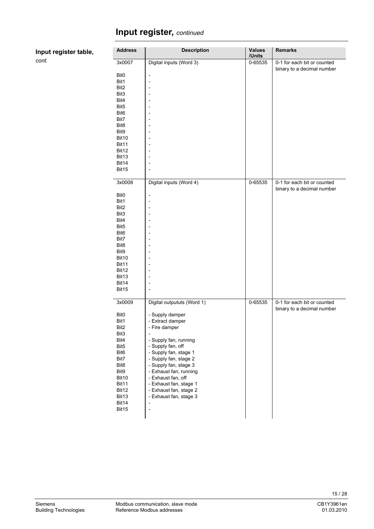| Input register table, | <b>Address</b>   | <b>Description</b>         | <b>Values</b><br>/Units | <b>Remarks</b>                                            |
|-----------------------|------------------|----------------------------|-------------------------|-----------------------------------------------------------|
| cont.                 | 3x0007           | Digital inputs (Word 3)    | 0-65535                 | 0-1 for each bit or counted<br>binary to a decimal number |
|                       | Bit <sub>0</sub> |                            |                         |                                                           |
|                       | Bit1             | ÷,                         |                         |                                                           |
|                       | Bit <sub>2</sub> | $\overline{a}$             |                         |                                                           |
|                       | Bit3             | ÷                          |                         |                                                           |
|                       | Bit4             | $\overline{a}$             |                         |                                                           |
|                       | Bit <sub>5</sub> | $\overline{\phantom{a}}$   |                         |                                                           |
|                       | Bit <sub>6</sub> |                            |                         |                                                           |
|                       | Bit7             | $\overline{a}$             |                         |                                                           |
|                       | Bit <sub>8</sub> | $\overline{\phantom{a}}$   |                         |                                                           |
|                       | Bit9             |                            |                         |                                                           |
|                       | Bit10            | $\overline{a}$             |                         |                                                           |
|                       | Bit11            | $\overline{\phantom{a}}$   |                         |                                                           |
|                       | Bit12            |                            |                         |                                                           |
|                       | Bit13            | $\overline{a}$             |                         |                                                           |
|                       | Bit14            | $\overline{\phantom{a}}$   |                         |                                                           |
|                       | Bit15            |                            |                         |                                                           |
|                       |                  |                            |                         |                                                           |
|                       | 3x0008           | Digital inputs (Word 4)    | 0-65535                 | 0-1 for each bit or counted<br>binary to a decimal number |
|                       | Bit <sub>0</sub> |                            |                         |                                                           |
|                       | Bit1             | $\overline{\phantom{a}}$   |                         |                                                           |
|                       | Bit <sub>2</sub> | ÷                          |                         |                                                           |
|                       | Bit3             | $\overline{\phantom{a}}$   |                         |                                                           |
|                       | Bit4             | $\overline{\phantom{a}}$   |                         |                                                           |
|                       | Bit <sub>5</sub> | $\overline{\phantom{a}}$   |                         |                                                           |
|                       | Bit <sub>6</sub> | $\overline{\phantom{a}}$   |                         |                                                           |
|                       | Bit7             | $\overline{\phantom{a}}$   |                         |                                                           |
|                       | Bit <sub>8</sub> | $\overline{\phantom{a}}$   |                         |                                                           |
|                       | Bit9             | $\overline{\phantom{a}}$   |                         |                                                           |
|                       | Bit10            | $\overline{\phantom{a}}$   |                         |                                                           |
|                       | Bit11            | $\overline{\phantom{a}}$   |                         |                                                           |
|                       | Bit12            | $\overline{\phantom{a}}$   |                         |                                                           |
|                       | Bit13            | $\overline{a}$             |                         |                                                           |
|                       | Bit14            |                            |                         |                                                           |
|                       | Bit15            | $\overline{\phantom{a}}$   |                         |                                                           |
|                       | 3x0009           | Digital outpututs (Word 1) | 0-65535                 | 0-1 for each bit or counted<br>binary to a decimal number |
|                       | Bit <sub>0</sub> | - Supply damper            |                         |                                                           |
|                       | Bit1             | - Extract damper           |                         |                                                           |
|                       | Bit2             | - Fire damper              |                         |                                                           |
|                       | Bit3             |                            |                         |                                                           |
|                       | Bit4             | - Supply fan, running      |                         |                                                           |
|                       | Bit <sub>5</sub> | - Supply fan, off          |                         |                                                           |
|                       | Bit <sub>6</sub> | - Supply fan, stage 1      |                         |                                                           |
|                       | Bit7             | - Supply fan, stage 2      |                         |                                                           |
|                       | Bit8             | - Supply fan, stage 3      |                         |                                                           |
|                       | Bit9             | - Exhaust fan, running     |                         |                                                           |
|                       | Bit10            | - Exhaust fan, off         |                         |                                                           |
|                       | Bit11            | - Exhaust fan, stage 1     |                         |                                                           |
|                       | Bit12            | - Exhaust fan, stage 2     |                         |                                                           |
|                       | Bit13            | - Exhaust fan, stage 3     |                         |                                                           |
|                       | Bit14            |                            |                         |                                                           |

-

Bit15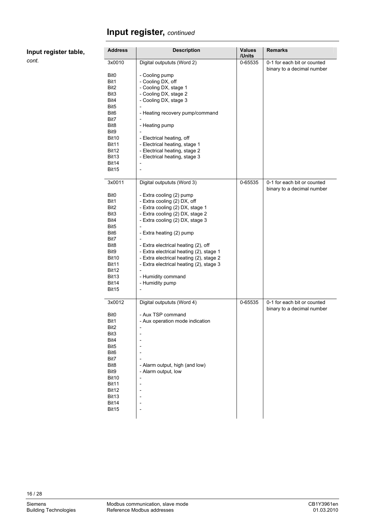**Input register table,** 

| <b>Address</b>                                                                                                                                                                                                                               | <b>Description</b>                                                                                                                                                                                                                                                                                                                                                                                                                                                                            | <b>Values</b><br>/Units | <b>Remarks</b>                                            |
|----------------------------------------------------------------------------------------------------------------------------------------------------------------------------------------------------------------------------------------------|-----------------------------------------------------------------------------------------------------------------------------------------------------------------------------------------------------------------------------------------------------------------------------------------------------------------------------------------------------------------------------------------------------------------------------------------------------------------------------------------------|-------------------------|-----------------------------------------------------------|
| 3x0010<br>Bit <sub>0</sub><br>Bit1<br>Bit <sub>2</sub><br>Bit <sub>3</sub><br>Bit4<br>Bit <sub>5</sub><br>Bit <sub>6</sub><br>Bit7<br>Bit8<br>Bit9<br>Bit10<br>Bit11<br>Bit <sub>12</sub><br>Bit <sub>13</sub><br>Bit14<br>Bit <sub>15</sub> | Digital outpututs (Word 2)<br>- Cooling pump<br>- Cooling DX, off<br>- Cooling DX, stage 1<br>- Cooling DX, stage 2<br>- Cooling DX, stage 3<br>- Heating recovery pump/command<br>- Heating pump<br>- Electrical heating, off<br>- Electrical heating, stage 1<br>- Electrical heating, stage 2<br>- Electrical heating, stage 3<br>$\overline{a}$<br>$\overline{a}$                                                                                                                         | 0-65535                 | 0-1 for each bit or counted<br>binary to a decimal number |
| 3x0011<br>Bit <sub>0</sub><br>Bit1<br>Bit <sub>2</sub><br>Bit <sub>3</sub><br>Bit4<br>Bit <sub>5</sub><br>Bit <sub>6</sub><br>Bit7<br>Bit8<br>Bit9<br>Bit <sub>10</sub><br>Bit11<br>Bit <sub>12</sub><br>Bit13<br>Bit14<br>Bit <sub>15</sub> | Digital outpututs (Word 3)<br>- Extra cooling (2) pump<br>- Extra cooling (2) DX, off<br>- Extra cooling (2) DX, stage 1<br>- Extra cooling (2) DX, stage 2<br>- Extra cooling (2) DX, stage 3<br>- Extra heating (2) pump<br>- Extra electrical heating (2), off<br>- Extra electrical heating (2), stage 1<br>- Extra electrical heating (2), stage 2<br>- Extra electrical heating (2), stage 3<br>$\overline{a}$<br>- Humidity command<br>- Humidity pump<br>$\qquad \qquad \blacksquare$ | 0-65535                 | 0-1 for each bit or counted<br>binary to a decimal number |
| 3x0012<br>Bit0<br>Bit1<br>Bit2<br>Bit3<br>Bit4<br>Bit <sub>5</sub><br>Bit <sub>6</sub><br>Bit7<br>Bit <sub>8</sub><br>Bit9<br>Bit10<br>Bit11<br>Bit12<br>Bit <sub>13</sub><br>Bit <sub>14</sub><br>Bit15                                     | Digital outpututs (Word 4)<br>- Aux TSP command<br>- Aux operation mode indication<br>$\overline{a}$<br>$\overline{\phantom{a}}$<br>$\overline{a}$<br>- Alarm output, high (and low)<br>- Alarm output, low<br>$\overline{a}$<br>$\overline{a}$<br>$\overline{a}$                                                                                                                                                                                                                             | 0-65535                 | 0-1 for each bit or counted<br>binary to a decimal number |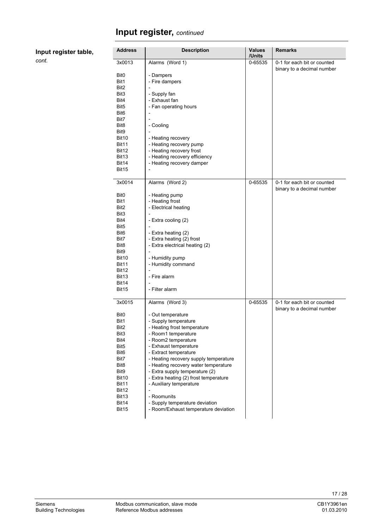**Input register table,** 

| <b>Address</b>           | <b>Description</b>                               | <b>Values</b><br>/Units | <b>Remarks</b>              |
|--------------------------|--------------------------------------------------|-------------------------|-----------------------------|
| 3x0013                   | Alarms (Word 1)                                  | $0 - 65535$             | 0-1 for each bit or counted |
| Bit <sub>0</sub>         | - Dampers                                        |                         | binary to a decimal number  |
| Bit1                     | - Fire dampers                                   |                         |                             |
| Bit <sub>2</sub>         |                                                  |                         |                             |
| Bit3                     | - Supply fan                                     |                         |                             |
| Bit4                     | - Exhaust fan                                    |                         |                             |
| Bit <sub>5</sub>         | - Fan operating hours                            |                         |                             |
| Bit <sub>6</sub>         |                                                  |                         |                             |
| Bit7                     |                                                  |                         |                             |
| Bit <sub>8</sub><br>Bit9 | - Cooling                                        |                         |                             |
| Bit <sub>10</sub>        | - Heating recovery                               |                         |                             |
| Bit11                    | - Heating recovery pump                          |                         |                             |
| Bit12                    | - Heating recovery frost                         |                         |                             |
| Bit <sub>13</sub>        | - Heating recovery efficiency                    |                         |                             |
| Bit <sub>14</sub>        | - Heating recovery damper                        |                         |                             |
| Bit <sub>15</sub>        |                                                  |                         |                             |
| 3x0014                   | Alarms (Word 2)                                  | 0-65535                 | 0-1 for each bit or counted |
|                          |                                                  |                         | binary to a decimal number  |
| Bit <sub>0</sub>         | - Heating pump                                   |                         |                             |
| Bit1                     | - Heating frost                                  |                         |                             |
| Bit <sub>2</sub>         | - Electrical heating                             |                         |                             |
| Bit <sub>3</sub>         |                                                  |                         |                             |
| Bit4                     | - Extra cooling (2)                              |                         |                             |
| Bit <sub>5</sub>         |                                                  |                         |                             |
| Bit <sub>6</sub><br>Bit7 | - Extra heating (2)<br>- Extra heating (2) frost |                         |                             |
| Bit <sub>8</sub>         | - Extra electrical heating (2)                   |                         |                             |
| Bit9                     |                                                  |                         |                             |
| Bit10                    | - Humidity pump                                  |                         |                             |
| Bit11                    | - Humidity command                               |                         |                             |
| Bit <sub>12</sub>        |                                                  |                         |                             |
| Bit <sub>13</sub>        | - Fire alarm                                     |                         |                             |
| Bit <sub>14</sub>        |                                                  |                         |                             |
| Bit <sub>15</sub>        | - Filter alarm                                   |                         |                             |
| 3x0015                   | Alarms (Word 3)                                  | 0-65535                 | 0-1 for each bit or counted |
|                          |                                                  |                         | binary to a decimal number  |
| Bit <sub>0</sub>         | - Out temperature                                |                         |                             |
| Bit1                     | - Supply temperature                             |                         |                             |
| Bit2                     | - Heating frost temperature                      |                         |                             |
| Bit <sub>3</sub><br>Bit4 | - Room1 temperature<br>- Room2 temperature       |                         |                             |
| Bit <sub>5</sub>         | - Exhaust temperature                            |                         |                             |
| Bit <sub>6</sub>         | - Extract temperature                            |                         |                             |
| Bit7                     | - Heating recovery supply temperature            |                         |                             |
| Bit8                     | - Heating recovery water temperature             |                         |                             |
| Bit9                     | - Extra supply temperature (2)                   |                         |                             |
| Bit10                    | - Extra heating (2) frost temperature            |                         |                             |
| Bit11                    | - Auxiliary temperature                          |                         |                             |
| Bit12<br>Bit13           | - Roomunits                                      |                         |                             |
| Bit14                    | - Supply temperature deviation                   |                         |                             |
| Bit15                    | - Room/Exhaust temperature deviation             |                         |                             |
|                          |                                                  |                         |                             |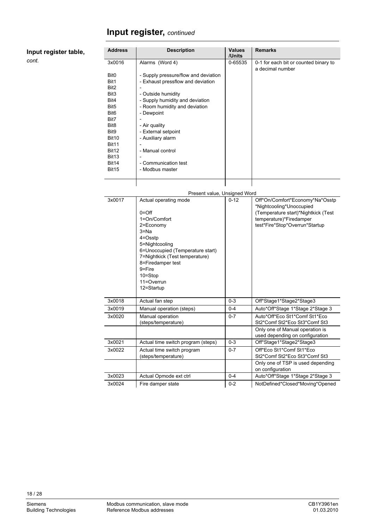**Input register table,** 

*cont.*

| <b>Address</b>    | <b>Description</b>                   | <b>Values</b><br>/Units | <b>Remarks</b>                        |
|-------------------|--------------------------------------|-------------------------|---------------------------------------|
| 3x0016            | Alarms (Word 4)                      | 0-65535                 | 0-1 for each bit or counted binary to |
|                   |                                      |                         | a decimal number                      |
| Bit0              | - Supply pressure/flow and deviation |                         |                                       |
| Bit1              | - Exhaust pressflow and deviation    |                         |                                       |
| Bit <sub>2</sub>  |                                      |                         |                                       |
| Bit <sub>3</sub>  | - Outside humidity                   |                         |                                       |
| Bit4              | - Supply humidity and deviation      |                         |                                       |
| Bit <sub>5</sub>  | - Room humidity and deviation        |                         |                                       |
| Bit <sub>6</sub>  | - Dewpoint                           |                         |                                       |
| Bit7              |                                      |                         |                                       |
| Bit8              | - Air quality                        |                         |                                       |
| Bit9              | - External setpoint                  |                         |                                       |
| Bit <sub>10</sub> | - Auxiliary alarm                    |                         |                                       |
| Bit <sub>11</sub> |                                      |                         |                                       |
| Bit <sub>12</sub> | - Manual control                     |                         |                                       |
| Bit <sub>13</sub> |                                      |                         |                                       |
| Bit <sub>14</sub> | - Communication test                 |                         |                                       |
| Bit <sub>15</sub> | - Modbus master                      |                         |                                       |
|                   |                                      |                         |                                       |
|                   |                                      |                         |                                       |

Present value, Unsigned Word

| 3x0017 | Actual operating mode<br>$0 = Off$<br>1=On/Comfort<br>2=Economy<br>$3 = Na$<br>$4 =$ Osstp<br>5=Nightcooling<br>6=Unoccupied (Temperature start)<br>7=Nightkick (Test temperature)<br>8=Firedamper test<br>$9 =$ Fire<br>$10 =$ Stop<br>11=Overrun<br>12=Startup | $0 - 12$ | Off*On/Comfort*Economy*Na*Osstp<br>*Nightcooling*Unoccupied<br>(Temperature start)*Nightkick (Test<br>temperature)*Firedamper<br>test*Fire*Stop*Overrun*Startup |
|--------|------------------------------------------------------------------------------------------------------------------------------------------------------------------------------------------------------------------------------------------------------------------|----------|-----------------------------------------------------------------------------------------------------------------------------------------------------------------|
| 3x0018 | Actual fan step                                                                                                                                                                                                                                                  | $0 - 3$  | Off*Stage1*Stage2*Stage3                                                                                                                                        |
| 3x0019 | Manual operation (steps)                                                                                                                                                                                                                                         | $0 - 4$  | Auto*Off*Stage 1*Stage 2*Stage 3                                                                                                                                |
| 3x0020 | Manual operation<br>(steps/temperature)                                                                                                                                                                                                                          | $0 - 7$  | Auto*Off*Eco St1*Comf St1*Eco<br>St2*Comf St2*Eco St3*Comf St3                                                                                                  |
|        |                                                                                                                                                                                                                                                                  |          | Only one of Manual operation is<br>used depending on configuration                                                                                              |
| 3x0021 | Actual time switch program (steps)                                                                                                                                                                                                                               | $0 - 3$  | Off*Stage1*Stage2*Stage3                                                                                                                                        |
| 3x0022 | Actual time switch program<br>(steps/temperature)                                                                                                                                                                                                                | $0 - 7$  | Off*Eco St1*Comf St1*Eco<br>St2*Comf St2*Eco St3*Comf St3                                                                                                       |
|        |                                                                                                                                                                                                                                                                  |          | Only one of TSP is used depending<br>on configuration                                                                                                           |
| 3x0023 | Actual Opmode ext ctrl                                                                                                                                                                                                                                           | $0 - 4$  | Auto*Off*Stage 1*Stage 2*Stage 3                                                                                                                                |
| 3x0024 | Fire damper state                                                                                                                                                                                                                                                | $0 - 2$  | NotDefined*Closed*Moving*Opened                                                                                                                                 |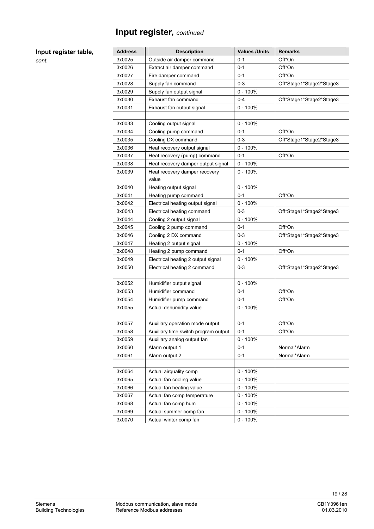#### **Input register table,**

| <b>Address</b> | <b>Description</b>                   | <b>Values /Units</b> | <b>Remarks</b>           |
|----------------|--------------------------------------|----------------------|--------------------------|
| 3x0025         | Outside air damper command           | $0 - 1$              | Off*On                   |
| 3x0026         | Extract air damper command           | 0-1                  | Off*On                   |
| 3x0027         | Fire damper command                  | $0 - 1$              | Off*On                   |
| 3x0028         | Supply fan command                   | $0-3$                | Off*Stage1*Stage2*Stage3 |
| 3x0029         | Supply fan output signal             | $0 - 100%$           |                          |
| 3x0030         | Exhaust fan command                  | $0 - 4$              | Off*Stage1*Stage2*Stage3 |
| 3x0031         | Exhaust fan output signal            | $0 - 100%$           |                          |
|                |                                      |                      |                          |
| 3x0033         | Cooling output signal                | $0 - 100%$           |                          |
| 3x0034         | Cooling pump command                 | 0-1                  | Off*On                   |
| 3x0035         | Cooling DX command                   | $0 - 3$              | Off*Stage1*Stage2*Stage3 |
| 3x0036         | Heat recovery output signal          | $0 - 100%$           |                          |
| 3x0037         | Heat recovery (pump) command         | $0 - 1$              | Off*On                   |
| 3x0038         | Heat recovery damper output signal   | $0 - 100%$           |                          |
| 3x0039         | Heat recovery damper recovery        | $0 - 100%$           |                          |
|                | value                                |                      |                          |
| 3x0040         | Heating output signal                | $0 - 100%$           |                          |
| 3x0041         | Heating pump command                 | $0 - 1$              | Off*On                   |
| 3x0042         | Electrical heating output signal     | $0 - 100%$           |                          |
| 3x0043         | Electrical heating command           | $0 - 3$              | Off*Stage1*Stage2*Stage3 |
| 3x0044         | Cooling 2 output signal              | $0 - 100%$           |                          |
| 3x0045         | Cooling 2 pump command               | $0 - 1$              | Off*On                   |
| 3x0046         | Cooling 2 DX command                 | $0 - 3$              | Off*Stage1*Stage2*Stage3 |
| 3x0047         | Heating 2 output signal              | $0 - 100%$           |                          |
| 3x0048         | Heating 2 pump command               | $0 - 1$              | Off*On                   |
| 3x0049         | Electrical heating 2 output signal   | $0 - 100%$           |                          |
| 3x0050         | Electrical heating 2 command         | 0-3                  | Off*Stage1*Stage2*Stage3 |
|                |                                      |                      |                          |
| 3x0052         | Humidifier output signal             | $0 - 100\%$          |                          |
| 3x0053         | Humidifier command                   | $0 - 1$              | Off*On                   |
| 3x0054         | Humidifier pump command              | $0 - 1$              | Off*On                   |
| 3x0055         | Actual dehumidity value              | $0 - 100\%$          |                          |
|                |                                      |                      |                          |
| 3x0057         | Auxiliary operation mode output      | $0 - 1$              | Off*On                   |
| 3x0058         | Auxiliary time switch program output | $0 - 1$              | Off*On                   |
| 3x0059         | Auxiliary analog output fan          | $0 - 100%$           |                          |
| 3x0060         | Alarm output 1                       | $0 - 1$              | Normal*Alarm             |
| 3x0061         | Alarm output 2                       | $0 - 1$              | Normal*Alarm             |
|                |                                      |                      |                          |
| 3x0064         | Actual airquality comp               | $0 - 100%$           |                          |
| 3x0065         | Actual fan cooling value             | $0 - 100%$           |                          |
| 3x0066         | Actual fan heating value             | $0 - 100%$           |                          |
| 3x0067         | Actual fan comp temperature          | $0 - 100%$           |                          |
| 3x0068         | Actual fan comp hum                  | $0 - 100\%$          |                          |
| 3x0069         | Actual summer comp fan               | $0 - 100%$           |                          |
| 3x0070         | Actual winter comp fan               | $0 - 100\%$          |                          |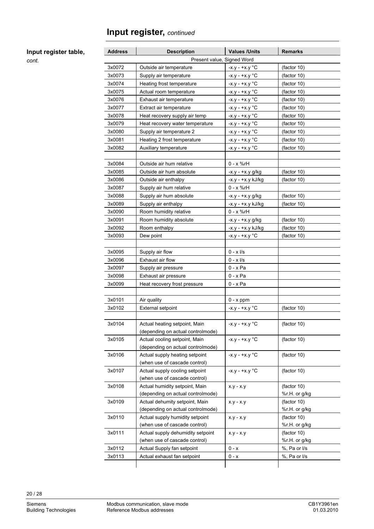#### **Input register table,**

| <b>Address</b> | <b>Description</b>                                                  | <b>Values /Units</b>            | <b>Remarks</b>               |
|----------------|---------------------------------------------------------------------|---------------------------------|------------------------------|
|                | Present value, Signed Word                                          |                                 |                              |
| 3x0072         | Outside air temperature                                             | -x.y - +x.y °C                  | (factor 10)                  |
| 3x0073         | Supply air temperature                                              | $-x.y - +x.y$ °C                | (factor 10)                  |
| 3x0074         | Heating frost temperature                                           | $-x.y - +x.y$ °C                | (factor 10)                  |
| 3x0075         | Actual room temperature                                             | -x.y - +x.y °C                  | (factor 10)                  |
| 3x0076         | Exhaust air temperature                                             | -x.y - +x.y °C                  | (factor 10)                  |
| 3x0077         | Extract air temperature                                             | -x.y - +x.y °C                  | (factor 10)                  |
| 3x0078         | Heat recovery supply air temp                                       | $-x.y - +x.y$ °C                | (factor 10)                  |
| 3x0079         | Heat recovery water temperature                                     | -x.y - +x.y $^{\circ}$ C        | (factor 10)                  |
| 3x0080         | Supply air temperature 2                                            | $-x.y - +x.y$ °C                | (factor 10)                  |
| 3x0081         | Heating 2 frost temperature                                         | $-x.y - +x.y$ °C                | (factor 10)                  |
| 3x0082         | Auxiliary temperature                                               | -x.y - +x.y $^{\circ}$ C        | (factor 10)                  |
|                |                                                                     |                                 |                              |
| 3x0084         | Outside air hum relative                                            | $0 - x$ %rH                     |                              |
| 3x0085         | Outside air hum absolute                                            | $-x.y - +x.y$ g/kg              | (factor 10)                  |
| 3x0086         | Outside air enthalpy                                                | -x.y - +x.y kJ/kg               | (factor 10)                  |
| 3x0087         | Supply air hum relative                                             | $0 - x$ %rH                     |                              |
| 3x0088         | Supply air hum absolute                                             | $-x y - +x y g/kg$              | (factor 10)                  |
| 3x0089         | Supply air enthalpy                                                 | -x.y - +x.y kJ/kg               | (factor 10)                  |
| 3x0090         | Room humidity relative                                              | $0 - x$ %rH                     |                              |
| 3x0091         | Room humidity absolute                                              | $-x.y - +x.y g/kg$              | (factor 10)                  |
| 3x0092         | Room enthalpy                                                       | -x.y - +x.y kJ/kg               | (factor 10)                  |
| 3x0093         | Dew point                                                           | $-x.y - +x.y$ °C                | (factor 10)                  |
|                |                                                                     |                                 |                              |
| 3x0095         | Supply air flow                                                     | $0 - x$ $1/s$                   |                              |
| 3x0096         | Exhaust air flow                                                    | $0 - x$ $1/s$                   |                              |
| 3x0097         | Supply air pressure                                                 | 0 - x Pa                        |                              |
| 3x0098         | Exhaust air pressure                                                | 0 - x Pa                        |                              |
| 3x0099         | Heat recovery frost pressure                                        | 0 - x Pa                        |                              |
|                |                                                                     |                                 |                              |
| 3x0101         | Air quality                                                         | $0 - x$ ppm                     |                              |
| 3x0102         | <b>External setpoint</b>                                            | $-x.y - +x.y$ °C                | (factor 10)                  |
|                |                                                                     |                                 |                              |
| 3x0104         | Actual heating setpoint, Main                                       | -x.y - +x.y $^{\circ} \text{C}$ | (factor 10)                  |
|                | (depending on actual controlmode)                                   |                                 |                              |
| 3x0105         | Actual cooling setpoint, Main                                       | $-x.y - +x.y$ °C                | (factor 10)                  |
|                | (depending on actual controlmode)                                   |                                 |                              |
| 3x0106         | Actual supply heating setpoint                                      | $-X.y - +X.y \degree C$         | (factor 10)                  |
|                | (when use of cascade control)                                       |                                 |                              |
| 3x0107         | Actual supply cooling setpoint                                      | $-X. V - +X. V$ °C              | (factor 10)                  |
|                | (when use of cascade control)                                       |                                 |                              |
| 3x0108         | Actual humidity setpoint, Main<br>(depending on actual controlmode) | $X.Y - X.Y$                     | (factor 10)<br>%r.H. or g/kg |
|                |                                                                     |                                 |                              |
| 3x0109         | Actual dehumity setpoint, Main<br>(depending on actual controlmode) | $x.y - x.y$                     | (factor 10)<br>%r.H. or g/kg |
| 3x0110         |                                                                     |                                 |                              |
|                | Actual supply humidity setpoint<br>(when use of cascade control)    | $x.y - x.y$                     | (factor 10)<br>%r.H. or g/kg |
| 3x0111         | Actual supply dehumidity setpoint                                   | $x.y - x.y$                     | (factor 10)                  |
|                | (when use of cascade control)                                       |                                 | %r.H. or g/kg                |
| 3x0112         | Actual Supply fan setpoint                                          | 0 - x                           | %, Pa or I/s                 |
| 3x0113         | Actual exhaust fan setpoint                                         | $0 - x$                         | %, Pa or I/s                 |
|                |                                                                     |                                 |                              |
|                |                                                                     |                                 |                              |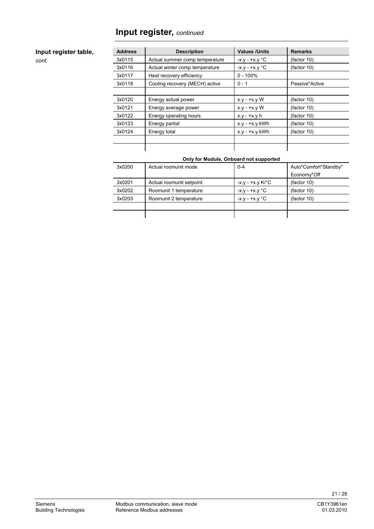#### **Input register table,**

*cont.*

| <b>Address</b> | <b>Description</b>             | <b>Values /Units</b>   | <b>Remarks</b> |
|----------------|--------------------------------|------------------------|----------------|
| 3x0115         | Actual summer comp temperature | $-X.y - +X.Y$ °C       | (factor 10)    |
| 3x0116         | Actual winter comp temperature | $-x.y - +x.y$ °C       | (factor 10)    |
| 3x0117         | Heat recovery efficiency       | $0 - 100\%$            |                |
| 3x0118         | Cooling recovery (MECH) active | $0 - 1$                | Passive*Active |
|                |                                |                        |                |
| 3x0120         | Energy actual power            | $x.y - +x.y W$         | (factor 10)    |
| 3x0121         | Energy average power           | $x.y - +x.y W$         | (factor 10)    |
| 3x0122         | Energy operating hours         | $x y - +x y h$         | (factor 10)    |
| 3x0123         | Energy partial                 | $x.y - +x.y$ kWh       | (factor 10)    |
| 3x0124         | Energy total                   | $x \vee - +x \vee$ kWh | (factor 10)    |
|                |                                |                        |                |
|                |                                |                        |                |

#### **Only for Module, Onboard not supported**

| 3x0200 | Actual roomunit mode     | $0 - 4$          | Auto*Comfort*Standby* |
|--------|--------------------------|------------------|-----------------------|
|        |                          |                  | Economy*Off           |
| 3x0201 | Actual roomunit setpoint | -x.y - +x.y K/°C | (factor 10)           |
| 3x0202 | Roomunit 1 temperature   | $-X.y - +X.Y$ °C | (factor 10)           |
| 3x0203 | Roomunit 2 temperature   | $-X.y - +X.Y$ °C | (factor 10)           |
|        |                          |                  |                       |
|        |                          |                  |                       |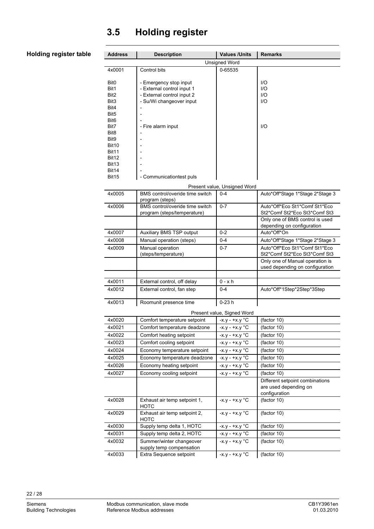### **3.5 Holding register**

#### **Holding register table**

| <b>Address</b>           | <b>Description</b>                | <b>Values /Units</b>         | <b>Remarks</b>                                                     |  |
|--------------------------|-----------------------------------|------------------------------|--------------------------------------------------------------------|--|
| <b>Unsigned Word</b>     |                                   |                              |                                                                    |  |
| 4x0001                   | Control bits                      | 0-65535                      |                                                                    |  |
|                          |                                   |                              |                                                                    |  |
| Bit <sub>0</sub>         | - Emergency stop input            |                              | I/O                                                                |  |
| Bit1                     | - External control input 1        |                              | I/O                                                                |  |
| Bit <sub>2</sub>         | - External control input 2        |                              | $U$                                                                |  |
| Bit3                     | - Su/Wi changeover input          |                              | $U$                                                                |  |
| Bit4                     |                                   |                              |                                                                    |  |
| Bit <sub>5</sub>         |                                   |                              |                                                                    |  |
| Bit6                     |                                   |                              | 1/O                                                                |  |
| Bit7<br>Bit <sub>8</sub> | - Fire alarm input                |                              |                                                                    |  |
| Bit9                     |                                   |                              |                                                                    |  |
| Bit10                    |                                   |                              |                                                                    |  |
| Bit11                    |                                   |                              |                                                                    |  |
| Bit12                    |                                   |                              |                                                                    |  |
| Bit13                    |                                   |                              |                                                                    |  |
| Bit <sub>14</sub>        |                                   |                              |                                                                    |  |
| Bit15                    | - Communicationtest puls          |                              |                                                                    |  |
|                          |                                   | Present value, Unsigned Word |                                                                    |  |
| 4x0005                   | BMS control/overide time switch   | $0 - 4$                      | Auto*Off*Stage 1*Stage 2*Stage 3                                   |  |
|                          | program (steps)                   |                              |                                                                    |  |
| 4x0006                   | BMS control/overide time switch   | $0 - 7$                      | Auto*Off*Eco St1*Comf St1*Eco                                      |  |
|                          | program (steps/temperature)       |                              | St2*Comf St2*Eco St3*Comf St3                                      |  |
|                          |                                   |                              | Only one of BMS control is used                                    |  |
|                          |                                   |                              | depending on configuration                                         |  |
| 4x0007                   | Auxiliary BMS TSP output          | $0 - 2$                      | Auto*Off*On                                                        |  |
| 4x0008                   | Manual operation (steps)          | $0 - 4$                      | Auto*Off*Stage 1*Stage 2*Stage 3                                   |  |
| 4x0009                   | Manual operation                  | $0 - 7$                      | Auto*Off*Eco St1*Comf St1*Eco                                      |  |
|                          | (steps/temperature)               |                              | St2*Comf St2*Eco St3*Comf St3                                      |  |
|                          |                                   |                              | Only one of Manual operation is<br>used depending on configuration |  |
|                          |                                   |                              |                                                                    |  |
| 4x0011                   | External control, off delay       | 0 - x h                      |                                                                    |  |
|                          |                                   |                              |                                                                    |  |
| 4x0012                   | External control, fan step        | $0 - 4$                      | Auto*Off*1Step*2Step*3Step                                         |  |
| 4x0013                   | Roomunit presence time            | $0-23h$                      |                                                                    |  |
|                          |                                   | Present value, Signed Word   |                                                                    |  |
| 4x0020                   | Comfort temperature setpoint      | -x.y - +x.y °C               | (factor 10)                                                        |  |
| 4x0021                   | Comfort temperature deadzone      | $-x.y - +x.y \circ C$        | (factor 10)                                                        |  |
| 4x0022                   | Comfort heating setpoint          | $-x.y - +x.y$ °C             | (factor 10)                                                        |  |
| 4x0023                   | Comfort cooling setpoint          | -x.y - $+x.y$ $\degree$ C    | (factor 10)                                                        |  |
| 4x0024                   | Economy temperature setpoint      | $-x.y - +x.y$ °C             | (factor 10)                                                        |  |
| 4x0025                   | Economy temperature deadzone      | $-x.y - +x.y$ °C             | (factor 10)                                                        |  |
| 4x0026                   | Economy heating setpoint          |                              | (factor 10)                                                        |  |
|                          |                                   | $-x.y - +x.y$ °C             |                                                                    |  |
| 4x0027                   | Economy cooling setpoint          | $-x.y - +x.y$ °C             | (factor 10)                                                        |  |
|                          |                                   |                              | Different setpoint combinations                                    |  |
|                          |                                   |                              | are used depending on<br>configuration                             |  |
| 4x0028                   | Exhaust air temp setpoint 1,      | $-x.y - +x.y^{\circ}C$       | (factor 10)                                                        |  |
|                          | <b>HOTC</b>                       |                              |                                                                    |  |
| 4x0029                   | Exhaust air temp setpoint 2,      | -x.y - +x.y $^{\circ}$ C     | (factor 10)                                                        |  |
| 4x0030                   | HOTC<br>Supply temp delta 1, HOTC | $-x.y - +x.y$ °C             | (factor 10)                                                        |  |
| 4x0031                   | Supply temp delta 2, HOTC         | $-x.y - +x.y$ °C             | (factor 10)                                                        |  |
| 4x0032                   | Summer/winter changeover          | -x.y - +x.y $\overline{C}$   | (factor 10)                                                        |  |
|                          | supply temp compensation          |                              |                                                                    |  |
| 4x0033                   | Extra Sequence setpoint           | -x.y - +x.y $\degree$ C      | (factor 10)                                                        |  |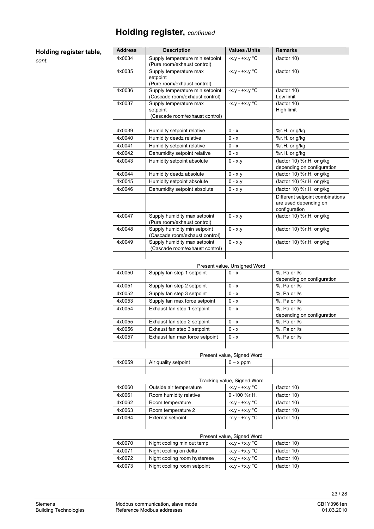**Holding register table,**  *cont.*

| <b>Address</b> | <b>Description</b>                                                   | <b>Values /Units</b>     | <b>Remarks</b>                                                            |
|----------------|----------------------------------------------------------------------|--------------------------|---------------------------------------------------------------------------|
| 4x0034         | Supply temperature min setpoint<br>(Pure room/exhaust control)       | $-X.y - +X.Y$ °C         | (factor 10)                                                               |
| 4x0035         | Supply temperature max<br>setpoint<br>(Pure room/exhaust control)    | $-x.y - +x.y$ °C         | (factor 10)                                                               |
| 4x0036         | Supply temperature min setpoint<br>(Cascade room/exhaust control)    | $-X.y - +X.Y$ °C         | (factor 10)<br>Low limit                                                  |
| 4x0037         | Supply temperature max<br>setpoint<br>(Cascade room/exhaust control) | -x.y - +x.y $^{\circ}$ C | (factor 10)<br>High limit                                                 |
|                |                                                                      |                          |                                                                           |
| 4x0039         | Humidity setpoint relative                                           | $0 - x$                  | %r.H. or g/kg                                                             |
| 4x0040         | Humidity deadz relative                                              | $0 - x$                  | %r.H. or g/kg                                                             |
| 4x0041         | Humidity setpoint relative                                           | $0 - x$                  | %r.H. or g/kg                                                             |
| 4x0042         | Dehumidity setpoint relative                                         | $0 - x$                  | %r.H. or g/kg                                                             |
| 4x0043         | Humidity setpoint absolute                                           | $0 - x.v$                | (factor 10) %r.H. or g/kg<br>depending on configuration                   |
| 4x0044         | Humidity deadz absolute                                              | $0 - x.y$                | (factor 10) %r.H. or g/kg                                                 |
| 4x0045         | Humidity setpoint absolute                                           | $0 - x.y$                | (factor 10) %r.H. or g/kg                                                 |
| 4x0046         | Dehumidity setpoint absolute                                         | $0 - x.v$                | (factor 10) %r.H. or g/kg                                                 |
|                |                                                                      |                          | Different setpoint combinations<br>are used depending on<br>configuration |
| 4x0047         | Supply humidity max setpoint<br>(Pure room/exhaust control)          | $0 - x \cdot v$          | (factor 10) %r.H. or g/kg                                                 |
| 4x0048         | Supply humidity min setpoint<br>(Cascade room/exhaust control)       | $0 - x.y$                | (factor 10) %r.H. or g/kg                                                 |
| 4x0049         | Supply humidity max setpoint<br>(Cascade room/exhaust control)       | $0 - x.v$                | (factor 10) %r.H. or g/kg                                                 |
|                |                                                                      |                          |                                                                           |

| Present value, Unsigned Word |                                |         |                            |  |
|------------------------------|--------------------------------|---------|----------------------------|--|
| 4x0050                       | Supply fan step 1 setpoint     | $0 - x$ | %, Pa or I/s               |  |
|                              |                                |         | depending on configuration |  |
| 4x0051                       | Supply fan step 2 setpoint     | $0 - x$ | %, Pa or I/s               |  |
| 4x0052                       | Supply fan step 3 setpoint     | $0 - x$ | %. Pa or I/s               |  |
| 4x0053                       | Supply fan max force setpoint  | $0 - x$ | %, Pa or I/s               |  |
| 4x0054                       | Exhaust fan step 1 setpoint    | $0 - x$ | %. Pa or I/s               |  |
|                              |                                |         | depending on configuration |  |
| 4x0055                       | Exhaust fan step 2 setpoint    | $0 - x$ | %, Pa or I/s               |  |
| 4x0056                       | Exhaust fan step 3 setpoint    | $0 - x$ | %, Pa or I/s               |  |
| 4x0057                       | Exhaust fan max force setpoint | $0 - x$ | %, Pa or I/s               |  |
|                              |                                |         |                            |  |

| Present value, Signed Word |                      |             |  |
|----------------------------|----------------------|-------------|--|
| 4x0059                     | Air quality setpoint | $0 - x$ ppm |  |
|                            |                      |             |  |

| Tracking value, Signed Word |                          |                  |             |  |
|-----------------------------|--------------------------|------------------|-------------|--|
| 4x0060                      | Outside air temperature  | $-X.y - +X.Y$ °C | (factor 10) |  |
| 4x0061                      | Room humidity relative   | 0 -100 %r.H.     | (factor 10) |  |
| 4x0062                      | Room temperature         | $-X.y - +X.Y$ °C | (factor 10) |  |
| 4x0063                      | Room temperature 2       | $-X.y - +X.Y$ °C | (factor 10) |  |
| 4x0064                      | <b>External setpoint</b> | $-X.y - +X.Y$ °C | (factor 10) |  |
|                             |                          |                  |             |  |

| Present value, Signed Word |                              |                    |             |  |
|----------------------------|------------------------------|--------------------|-------------|--|
| 4x0070                     | Night cooling min out temp   | $-X. V - +X. V$ °C | (factor 10) |  |
| 4x0071                     | Night cooling on delta       | $-X. V - +X. V$ °C | (factor 10) |  |
| 4x0072                     | Night cooling room hysterese | -x.v - +x.v °C     | (factor 10) |  |
| 4x0073                     | Night cooling room setpoint  | -x.v - +x.v °C     | (factor 10) |  |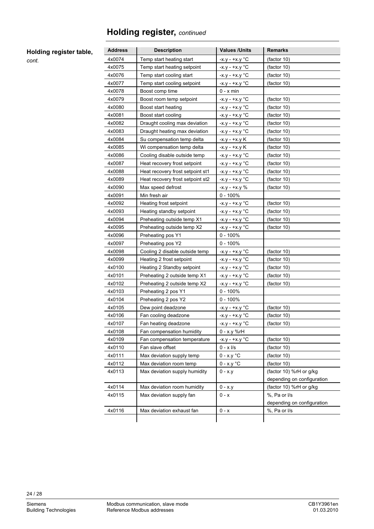#### **Holding register table,**

| <b>Address</b> | <b>Description</b>               | <b>Values /Units</b>      | <b>Remarks</b>             |
|----------------|----------------------------------|---------------------------|----------------------------|
| 4x0074         | Temp start heating start         | $-x.y - +x.y$ °C          | (factor 10)                |
| 4x0075         | Temp start heating setpoint      | $-x.y - +x.y$ °C          | (factor 10)                |
| 4x0076         | Temp start cooling start         | -x.y - +x.y °C            | (factor 10)                |
| 4x0077         | Temp start cooling setpoint      | -x.y - +x.y °C            | (factor 10)                |
| 4x0078         | Boost comp time                  | $0 - x$ min               |                            |
| 4x0079         | Boost room temp setpoint         | -x.y - +x.y $^{\circ}$ C  | (factor 10)                |
| 4x0080         | Boost start heating              | $-x.y - +x.y$ °C          | (factor 10)                |
| 4x0081         | Boost start cooling              | $-x.y - +x.y$ °C          | (factor 10)                |
| 4x0082         | Draught cooling max deviation    | $-x.y - +x.y$ °C          | (factor 10)                |
| 4x0083         | Draught heating max deviation    | $-x.y - +x.y$ °C          | (factor 10)                |
| 4x0084         | Su compensation temp delta       | -x.y - +x.y K             | (factor 10)                |
| 4x0085         | Wi compensation temp delta       | -x.y - +x.y K             | (factor 10)                |
| 4x0086         | Cooling disable outside temp     | $-x.y - +x.y$ °C          | (factor 10)                |
| 4x0087         | Heat recovery frost setpoint     | -x.y - +x.y °C            | (factor 10)                |
| 4x0088         | Heat recovery frost setpoint st1 | $-x.y - +x.y$ °C          | (factor 10)                |
| 4x0089         | Heat recovery frost setpoint st2 | $-x.y - +x.y$ °C          | (factor 10)                |
| 4x0090         | Max speed defrost                | $-x.y - +x.y \%$          | (factor 10)                |
| 4x0091         | Min fresh air                    | $0 - 100\%$               |                            |
| 4x0092         | Heating frost setpoint           | -x.y - $+x.y$ $^{\circ}C$ | (factor 10)                |
| 4x0093         | Heating standby setpoint         | -x.y - +x.y °C            | (factor 10)                |
| 4x0094         | Preheating outside temp X1       | $-X.y - +X.Y$ °C          | (factor 10)                |
| 4x0095         | Preheating outside temp X2       | $-x.y - +x.y$ °C          | (factor 10)                |
| 4x0096         | Preheating pos Y1                | $0 - 100\%$               |                            |
| 4x0097         | Preheating pos Y2                | $0 - 100\%$               |                            |
| 4x0098         | Cooling 2 disable outside temp   | $-x.y - +x.y$ °C          | (factor 10)                |
| 4x0099         | Heating 2 frost setpoint         | $-x.y - +x.y$ °C          | (factor 10)                |
| 4x0100         | Heating 2 Standby setpoint       | -x.y - +x.y $^{\circ}C$   | (factor 10)                |
| 4x0101         | Preheating 2 outside temp X1     | $-x.y - +x.y$ °C          | (factor 10)                |
| 4x0102         | Preheating 2 outside temp X2     | $-x.y - +x.y$ °C          | (factor 10)                |
| 4x0103         | Preheating 2 pos Y1              | $0 - 100%$                |                            |
| 4x0104         | Preheating 2 pos Y2              | $0 - 100\%$               |                            |
| 4x0105         | Dew point deadzone               | $-x.y - +x.y$ °C          | (factor 10)                |
| 4x0106         | Fan cooling deadzone             | -x.y - +x.y °C            | (factor 10)                |
| 4x0107         | Fan heating deadzone             | -x.y - +x.y °C            | (factor 10)                |
| 4x0108         | Fan compensation humidity        | 0 - x.y %rH               |                            |
| 4x0109         | Fan compensation temperature     | $-x.y - +x.y$ °C          | (factor 10)                |
| 4x0110         | Fan slave offset                 | $0 - x$ $1/s$             | (factor 10)                |
| 4x0111         | Max deviation supply temp        | $0 - x.y$ °C              | (factor 10)                |
| 4x0112         | Max deviation room temp          | $0 - x.y$ °C              | (factor 10)                |
| 4x0113         | Max deviation supply humidity    | $0 - x.y$                 | (factor 10) %rH or g/kg    |
|                |                                  |                           | depending on configuration |
| 4x0114         | Max deviation room humidity      | $0 - x.y$                 | (factor 10) %rH or g/kg    |
| 4x0115         | Max deviation supply fan         | $0 - x$                   | %, Pa or I/s               |
|                |                                  |                           | depending on configuration |
| 4x0116         | Max deviation exhaust fan        | $0 - x$                   | %, Pa or I/s               |
|                |                                  |                           |                            |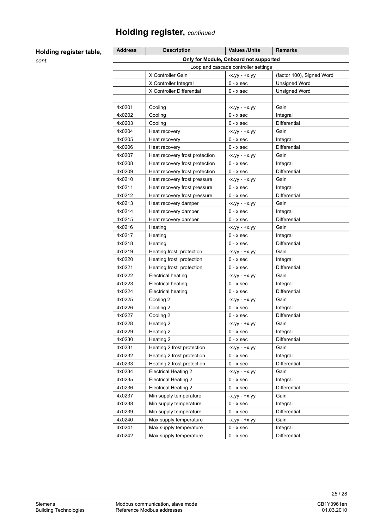#### **Holding register table,**

| <b>Address</b> | <b>Description</b>             | <b>Values /Units</b>                   | <b>Remarks</b>            |
|----------------|--------------------------------|----------------------------------------|---------------------------|
|                |                                | Only for Module, Onboard not supported |                           |
|                |                                | Loop and cascade controller settings   |                           |
|                | X Controller Gain              | -x.yy - +x.yy                          | (factor 100), Signed Word |
|                | X Controller Integral          | $0 - x$ sec                            | <b>Unsigned Word</b>      |
|                | X Controller Differential      | $0 - x$ sec                            | <b>Unsigned Word</b>      |
|                |                                |                                        |                           |
| 4x0201         | Cooling                        | -x.yy - +x.yy                          | Gain                      |
| 4x0202         | Cooling                        | $0 - x$ sec                            | Integral                  |
| 4x0203         | Cooling                        | $0 - x$ sec                            | <b>Differential</b>       |
| 4x0204         | Heat recovery                  | -x.yy - +x.yy                          | Gain                      |
| 4x0205         | Heat recovery                  | $0 - x$ sec                            | Integral                  |
| 4x0206         | Heat recovery                  | $0 - x$ sec                            | Differential              |
| 4x0207         | Heat recovery frost protection | -x yy - +x yy                          | Gain                      |
| 4x0208         | Heat recovery frost protection | $0 - x$ sec                            | Integral                  |
| 4x0209         | Heat recovery frost protection | $0 - x$ sec                            | Differential              |
| 4x0210         | Heat recovery frost pressure   | $-X.$ yy $- +x.$ yy                    | Gain                      |
| 4x0211         | Heat recovery frost pressure   | $0 - x$ sec                            | Integral                  |
| 4x0212         | Heat recovery frost pressure   | $0 - x$ sec                            | Differential              |
| 4x0213         | Heat recovery damper           | -x.yy - +x.yy                          | Gain                      |
| 4x0214         | Heat recovery damper           | $0 - x$ sec                            | Integral                  |
| 4x0215         | Heat recovery damper           | $0 - x$ sec                            | Differential              |
| 4x0216         | Heating                        | -x yy - +x yy                          | Gain                      |
| 4x0217         | Heating                        | $0 - x$ sec                            | Integral                  |
| 4x0218         | Heating                        | $0 - x$ sec                            | Differential              |
| 4x0219         | Heating frost protection       | -x yy - +x yy                          | Gain                      |
| 4x0220         | Heating frost protection       | $0 - x$ sec                            | Integral                  |
| 4x0221         | Heating frost protection       | $0 - x$ sec                            | Differential              |
| 4x0222         | <b>Electrical heating</b>      | $-x.yy - +x.yy$                        | Gain                      |
| 4x0223         | <b>Electrical heating</b>      | $0 - x$ sec                            | Integral                  |
| 4x0224         | <b>Electrical heating</b>      | $0 - x$ sec                            | Differential              |
| 4x0225         | Cooling 2                      | $-X.$ yy $- +X.$ yy                    | Gain                      |
| 4x0226         | Cooling 2                      | $0 - x$ sec                            | Integral                  |
| 4x0227         | Cooling 2                      | $0 - x$ sec                            | Differential              |
| 4x0228         | Heating 2                      | $-X.YY - +X.YY$                        | Gain                      |
| 4x0229         | Heating 2                      | $0 - x$ sec                            | Integral                  |
| 4x0230         | Heating 2                      | $0 - x$ sec                            | Differential              |
| 4x0231         | Heating 2 frost protection     | -x yy - +x yy                          | Gain                      |
| 4x0232         | Heating 2 frost protection     | $0 - x$ sec                            | Integral                  |
| 4x0233         | Heating 2 frost protection     | $0 - x$ sec                            | Differential              |
| 4x0234         | <b>Electrical Heating 2</b>    | $-x$ yy $- +x$ yy                      | Gain                      |
| 4x0235         | <b>Electrical Heating 2</b>    | $0 - x$ sec                            | Integral                  |
| 4x0236         | <b>Electrical Heating 2</b>    | $0 - x \sec$                           | Differential              |
| 4x0237         | Min supply temperature         | $-X.$ yy $- +X.$ yy                    | Gain                      |
| 4x0238         | Min supply temperature         | $0 - x$ sec                            | Integral                  |
| 4x0239         | Min supply temperature         | $0 - x$ sec                            | Differential              |
| 4x0240         | Max supply temperature         | $-x.yy - +x.yy$                        | Gain                      |
| 4x0241         | Max supply temperature         | $0 - x$ sec                            | Integral                  |
| 4x0242         | Max supply temperature         | $0 - x \sec$                           | Differential              |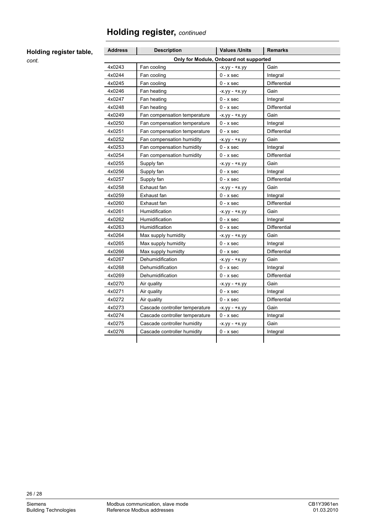#### **Holding register table,**

| <b>Address</b> | <b>Description</b>                     | <b>Values /Units</b> | <b>Remarks</b>      |  |  |
|----------------|----------------------------------------|----------------------|---------------------|--|--|
|                | Only for Module, Onboard not supported |                      |                     |  |  |
| 4x0243         | Fan cooling                            | -x.yy - +x.yy        | Gain                |  |  |
| 4x0244         | Fan cooling                            | $0 - x$ sec          | Integral            |  |  |
| 4x0245         | Fan cooling                            | $0 - x$ sec          | <b>Differential</b> |  |  |
| 4x0246         | Fan heating                            | $-x.yy - +x.yy$      | Gain                |  |  |
| 4x0247         | Fan heating                            | $0 - x$ sec          | Integral            |  |  |
| 4x0248         | Fan heating                            | $0 - x$ sec          | <b>Differential</b> |  |  |
| 4x0249         | Fan compensation temperature           | $-x.yy - +x.yy$      | Gain                |  |  |
| 4x0250         | Fan compensation temperature           | $0 - x$ sec          | Integral            |  |  |
| 4x0251         | Fan compensation temperature           | $0 - x$ sec          | <b>Differential</b> |  |  |
| 4x0252         | Fan compensation humidity              | $-x.yy - +x.yy$      | Gain                |  |  |
| 4x0253         | Fan compensation humidity              | $0 - x$ sec          | Integral            |  |  |
| 4x0254         | Fan compensation humidity              | $0 - x$ sec          | Differential        |  |  |
| 4x0255         | Supply fan                             | $-x.yy - +x.yy$      | Gain                |  |  |
| 4x0256         | Supply fan                             | $0 - x$ sec          | Integral            |  |  |
| 4x0257         | Supply fan                             | $0 - x$ sec          | <b>Differential</b> |  |  |
| 4x0258         | Exhaust fan                            | -x.yy - +x.yy        | Gain                |  |  |
| 4x0259         | Exhaust fan                            | $0 - x$ sec          | Integral            |  |  |
| 4x0260         | Exhaust fan                            | $0 - x$ sec          | <b>Differential</b> |  |  |
| 4x0261         | Humidification                         | -x yy - +x yy        | Gain                |  |  |
| 4x0262         | Humidification                         | $0 - x$ sec          | Integral            |  |  |
| 4x0263         | Humidification                         | $0 - x$ sec          | <b>Differential</b> |  |  |
| 4x0264         | Max supply humidity                    | -x.yy - +x.yy        | Gain                |  |  |
| 4x0265         | Max supply humidity                    | $0 - x$ sec          | Integral            |  |  |
| 4x0266         | Max supply humidty                     | $0 - x$ sec          | Differential        |  |  |
| 4x0267         | Dehumidification                       | -x.yy - +x.yy        | Gain                |  |  |
| 4x0268         | Dehumidification                       | $0 - x$ sec          | Integral            |  |  |
| 4x0269         | Dehumidification                       | $0 - x$ sec          | Differential        |  |  |
| 4x0270         | Air quality                            | $-x.yy - +x.yy$      | Gain                |  |  |
| 4x0271         | Air quality                            | $0 - x$ sec          | Integral            |  |  |
| 4x0272         | Air quality                            | $0 - x$ sec          | Differential        |  |  |
| 4x0273         | Cascade controller temperature         | -x.yy - +x.yy        | Gain                |  |  |
| 4x0274         | Cascade controller temperature         | $0 - x$ sec          | Integral            |  |  |
| 4x0275         | Cascade controller humidity            | -x.yy - +x.yy        | Gain                |  |  |
| 4x0276         | Cascade controller humidity            | $0 - x$ sec          | Integral            |  |  |
|                |                                        |                      |                     |  |  |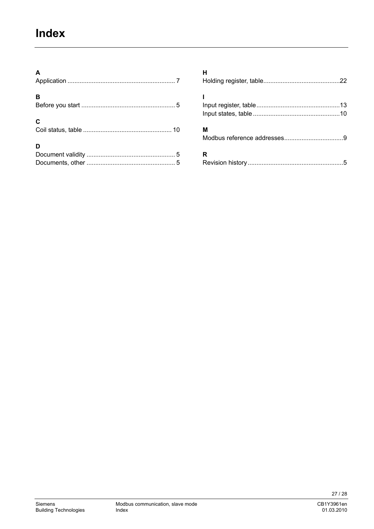# **Index**

| A |  |
|---|--|
| в |  |
| C |  |
| D |  |

| н |  |
|---|--|
|   |  |
| M |  |
| R |  |